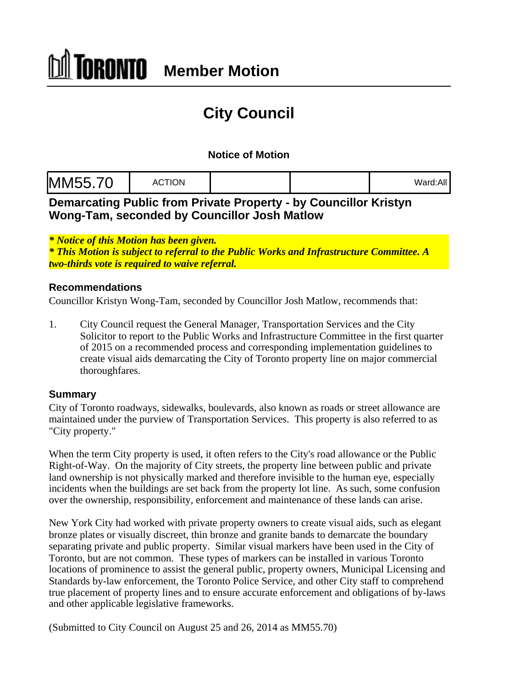# **City Council**

### **Notice of Motion**

|--|--|--|

**Demarcating Public from Private Property - by Councillor Kristyn Wong-Tam, seconded by Councillor Josh Matlow**

*\* Notice of this Motion has been given.*

*\* This Motion is subject to referral to the Public Works and Infrastructure Committee. A two-thirds vote is required to waive referral.*

#### **Recommendations**

Councillor Kristyn Wong-Tam, seconded by Councillor Josh Matlow, recommends that:

1. City Council request the General Manager, Transportation Services and the City Solicitor to report to the Public Works and Infrastructure Committee in the first quarter of 2015 on a recommended process and corresponding implementation guidelines to create visual aids demarcating the City of Toronto property line on major commercial thoroughfares.

#### **Summary**

City of Toronto roadways, sidewalks, boulevards, also known as roads or street allowance are maintained under the purview of Transportation Services. This property is also referred to as "City property."

When the term City property is used, it often refers to the City's road allowance or the Public Right-of-Way. On the majority of City streets, the property line between public and private land ownership is not physically marked and therefore invisible to the human eye, especially incidents when the buildings are set back from the property lot line. As such, some confusion over the ownership, responsibility, enforcement and maintenance of these lands can arise.

New York City had worked with private property owners to create visual aids, such as elegant bronze plates or visually discreet, thin bronze and granite bands to demarcate the boundary separating private and public property. Similar visual markers have been used in the City of Toronto, but are not common. These types of markers can be installed in various Toronto locations of prominence to assist the general public, property owners, Municipal Licensing and Standards by-law enforcement, the Toronto Police Service, and other City staff to comprehend true placement of property lines and to ensure accurate enforcement and obligations of by-laws and other applicable legislative frameworks.

(Submitted to City Council on August 25 and 26, 2014 as MM55.70)